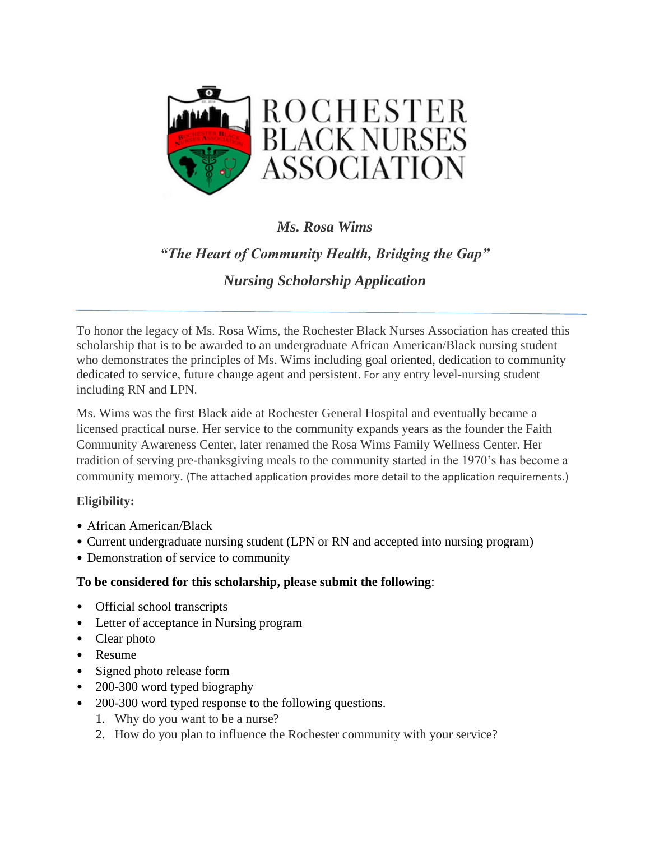

## *Ms. Rosa Wims*

# *"The Heart of Community Health, Bridging the Gap"*

## *Nursing Scholarship Application*

To honor the legacy of Ms. Rosa Wims, the Rochester Black Nurses Association has created this scholarship that is to be awarded to an undergraduate African American/Black nursing student who demonstrates the principles of Ms. Wims including goal oriented, dedication to community dedicated to service, future change agent and persistent. For any entry level-nursing student including RN and LPN.

Ms. Wims was the first Black aide at Rochester General Hospital and eventually became a licensed practical nurse. Her service to the community expands years as the founder the Faith Community Awareness Center, later renamed the Rosa Wims Family Wellness Center. Her tradition of serving pre-thanksgiving meals to the community started in the 1970's has become a community memory. (The attached application provides more detail to the application requirements.)

#### **Eligibility:**

- African American/Black
- Current undergraduate nursing student (LPN or RN and accepted into nursing program)
- Demonstration of service to community

#### **To be considered for this scholarship, please submit the following**:

- Official school transcripts
- Letter of acceptance in Nursing program
- Clear photo
- Resume
- Signed photo release form
- 200-300 word typed biography
- 200-300 word typed response to the following questions.
	- 1. Why do you want to be a nurse?
	- 2. How do you plan to influence the Rochester community with your service?